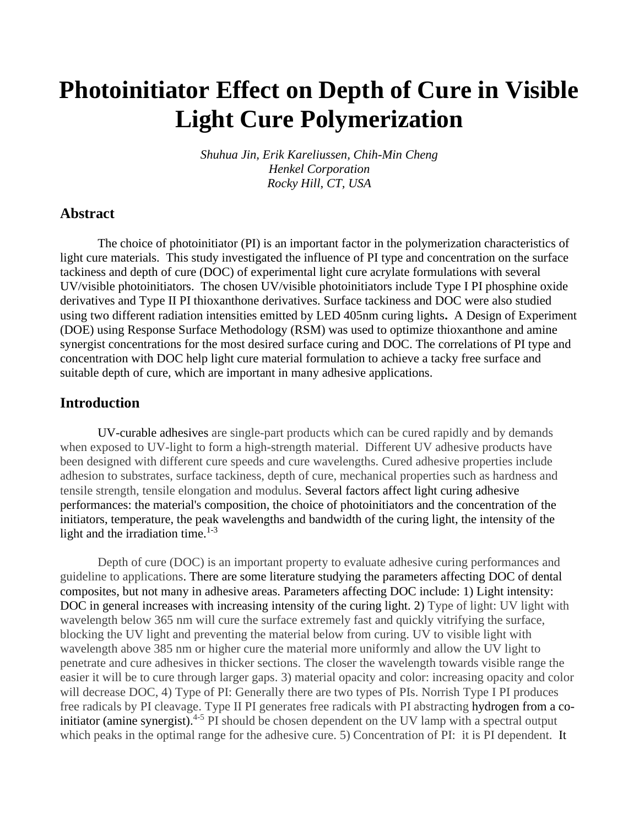# **Photoinitiator Effect on Depth of Cure in Visible Light Cure Polymerization**

*Shuhua Jin, Erik Kareliussen, Chih-Min Cheng Henkel Corporation Rocky Hill, CT, USA*

## **Abstract**

The choice of photoinitiator (PI) is an important factor in the polymerization characteristics of light cure materials. This study investigated the influence of PI type and concentration on the surface tackiness and depth of cure (DOC) of experimental light cure acrylate formulations with several UV/visible photoinitiators. The chosen UV/visible photoinitiators include Type I PI phosphine oxide derivatives and Type II PI thioxanthone derivatives. Surface tackiness and DOC were also studied using two different radiation intensities emitted by LED 405nm curing lights**.** A Design of Experiment (DOE) using Response Surface Methodology (RSM) was used to optimize thioxanthone and amine synergist concentrations for the most desired surface curing and DOC. The correlations of PI type and concentration with DOC help light cure material formulation to achieve a tacky free surface and suitable depth of cure, which are important in many adhesive applications.

## **Introduction**

[UV-curable adhesives](https://www.permabond.com/product/uv_light_adhesives.html) are single-part products which can be cured rapidly and by demands when exposed to UV-light to form a high-strength material. Different UV adhesive products have been designed with different cure speeds and cure wavelengths. Cured adhesive properties include adhesion to substrates, surface tackiness, depth of cure, mechanical properties such as hardness and tensile strength, tensile elongation and modulus. Several factors affect light curing adhesive performances: the material's composition, the choice of photoinitiators and the concentration of the initiators, temperature, the peak wavelengths and bandwidth of the curing light, the intensity of the light and the irradiation time. $1-3$ 

Depth of cure (DOC) is an important property to evaluate adhesive curing performances and guideline to applications. There are some literature studying the parameters affecting DOC of dental composites, but not many in adhesive areas. Parameters affecting DOC include: 1) Light intensity: DOC in general increases with increasing intensity of the curing light. 2) Type of light: UV light with wavelength below 365 nm will cure the surface extremely fast and quickly vitrifying the surface, blocking the UV light and preventing the material below from curing. UV to visible light with wavelength above 385 nm or higher cure the material more uniformly and allow the UV light to penetrate and cure adhesives in thicker sections. The closer the wavelength towards visible range the easier it will be to cure through larger gaps. 3) material opacity and color: increasing opacity and color will decrease DOC, 4) Type of PI: Generally there are two types of PIs. Norrish Type I PI produces free radicals by PI cleavage. Type II PI generates free radicals with PI abstracting hydrogen from a coinitiator (amine synergist).<sup>4-5</sup> PI should be chosen dependent on the UV lamp with a spectral output which peaks in the optimal range for the adhesive cure. 5) Concentration of PI: it is PI dependent. It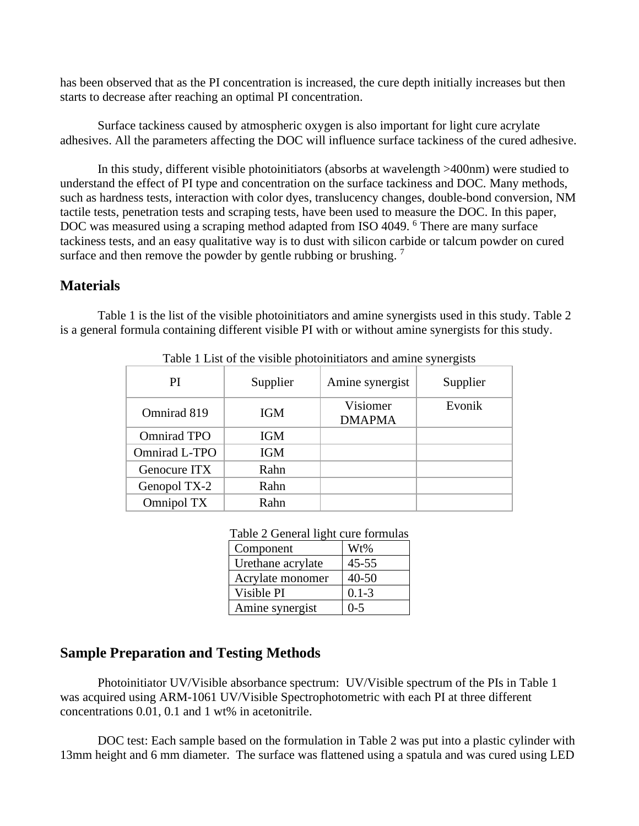has been observed that as the PI concentration is increased, the cure depth initially increases but then starts to decrease after reaching an optimal PI concentration.

Surface tackiness caused by atmospheric oxygen is also important for light cure acrylate adhesives. All the parameters affecting the DOC will influence surface tackiness of the cured adhesive.

In this study, different visible photoinitiators (absorbs at wavelength >400nm) were studied to understand the effect of PI type and concentration on the surface tackiness and DOC. Many methods, such as hardness tests, interaction with color dyes, translucency changes, double-bond conversion, NM tactile tests, penetration tests and scraping tests, have been used to measure the DOC. In this paper, DOC was measured using a scraping method adapted from ISO 4049. <sup>6</sup> There are many surface tackiness tests, and an easy qualitative way is to dust with silicon carbide or talcum powder on cured surface and then remove the powder by gentle rubbing or brushing.  $7$ 

# **Materials**

Table 1 is the list of the visible photoinitiators and amine synergists used in this study. Table 2 is a general formula containing different visible PI with or without amine synergists for this study.

| <b>PI</b>          | Supplier   | Amine synergist           | Supplier |
|--------------------|------------|---------------------------|----------|
| Omnirad 819        | <b>IGM</b> | Visiomer<br><b>DMAPMA</b> | Evonik   |
| <b>Omnirad TPO</b> | IGM        |                           |          |
| Omnirad L-TPO      | <b>IGM</b> |                           |          |
| Genocure ITX       | Rahn       |                           |          |
| Genopol TX-2       | Rahn       |                           |          |
| Omnipol TX         | Rahn       |                           |          |

Table 1 List of the visible photoinitiators and amine synergists

| Component         | W <sub>t</sub> % |
|-------------------|------------------|
| Urethane acrylate | $45 - 55$        |
| Acrylate monomer  | $40 - 50$        |
| Visible PI        | $0.1 - 3$        |
| Amine synergist   | $0 - 5$          |

# **Sample Preparation and Testing Methods**

Photoinitiator UV/Visible absorbance spectrum: UV/Visible spectrum of the PIs in Table 1 was acquired using ARM-1061 UV/Visible Spectrophotometric with each PI at three different concentrations 0.01, 0.1 and 1 wt% in acetonitrile.

DOC test: Each sample based on the formulation in Table 2 was put into a plastic cylinder with 13mm height and 6 mm diameter. The surface was flattened using a spatula and was cured using LED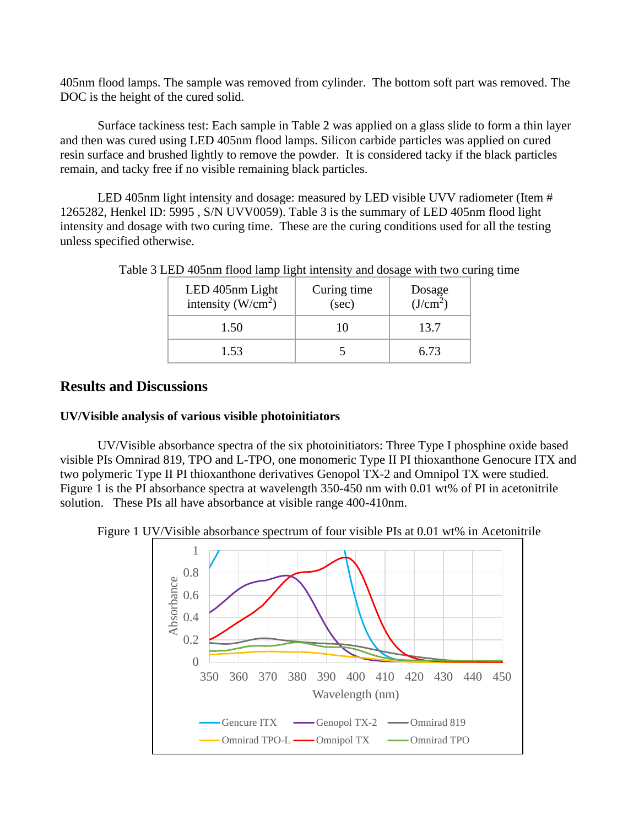405nm flood lamps. The sample was removed from cylinder. The bottom soft part was removed. The DOC is the height of the cured solid.

Surface tackiness test: Each sample in Table 2 was applied on a glass slide to form a thin layer and then was cured using LED 405nm flood lamps. Silicon carbide particles was applied on cured resin surface and brushed lightly to remove the powder. It is considered tacky if the black particles remain, and tacky free if no visible remaining black particles.

LED 405nm light intensity and dosage: measured by LED visible UVV radiometer (Item # 1265282, Henkel ID: 5995 , S/N UVV0059). Table 3 is the summary of LED 405nm flood light intensity and dosage with two curing time. These are the curing conditions used for all the testing unless specified otherwise.

| LED 405nm Light<br>intensity $(W/cm2)$ | Curing time<br>$(\sec)$ | Dosage $(J/cm2)$ |  |
|----------------------------------------|-------------------------|------------------|--|
| 1.50                                   | 10                      | 13.7             |  |
| 1.53                                   |                         | 6.73             |  |

Table 3 LED 405nm flood lamp light intensity and dosage with two curing time

## **Results and Discussions**

#### **UV/Visible analysis of various visible photoinitiators**

UV/Visible absorbance spectra of the six photoinitiators: Three Type I phosphine oxide based visible PIs Omnirad 819, TPO and L-TPO, one monomeric Type II PI thioxanthone Genocure ITX and two polymeric Type II PI thioxanthone derivatives Genopol TX-2 and Omnipol TX were studied. Figure 1 is the PI absorbance spectra at wavelength 350-450 nm with 0.01 wt% of PI in acetonitrile solution. These PIs all have absorbance at visible range 400-410nm.

Figure 1 UV/Visible absorbance spectrum of four visible PIs at 0.01 wt% in Acetonitrile

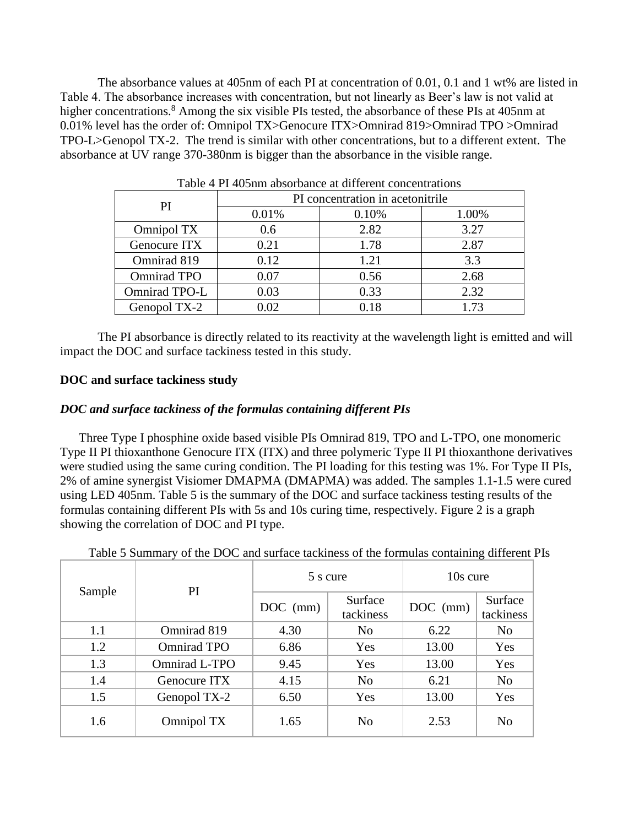The absorbance values at 405nm of each PI at concentration of 0.01, 0.1 and 1 wt% are listed in Table 4. The absorbance increases with concentration, but not linearly as Beer's law is not valid at higher concentrations.<sup>8</sup> Among the six visible PIs tested, the absorbance of these PIs at 405nm at 0.01% level has the order of: Omnipol TX>Genocure ITX>Omnirad 819>Omnirad TPO >Omnirad TPO-L>Genopol TX-2. The trend is similar with other concentrations, but to a different extent. The absorbance at UV range 370-380nm is bigger than the absorbance in the visible range.

| <sub>PI</sub>      | PI concentration in acetonitrile |       |       |  |  |
|--------------------|----------------------------------|-------|-------|--|--|
|                    | 0.01%                            | 0.10% | 1.00% |  |  |
| Omnipol TX         | 0.6                              | 2.82  | 3.27  |  |  |
| Genocure ITX       | 0.21                             | 1.78  | 2.87  |  |  |
| Omnirad 819        | 0.12                             | 1.21  | 3.3   |  |  |
| <b>Omnirad TPO</b> | 0.07                             | 0.56  | 2.68  |  |  |
| Omnirad TPO-L      | 0.03                             | 0.33  | 2.32  |  |  |
| Genopol TX-2       | .02                              | 0.18  | 1.73  |  |  |

Table 4 PI 405nm absorbance at different concentrations

The PI absorbance is directly related to its reactivity at the wavelength light is emitted and will impact the DOC and surface tackiness tested in this study.

#### **DOC and surface tackiness study**

#### *DOC and surface tackiness of the formulas containing different PIs*

Three Type I phosphine oxide based visible PIs Omnirad 819, TPO and L-TPO, one monomeric Type II PI thioxanthone Genocure ITX (ITX) and three polymeric Type II PI thioxanthone derivatives were studied using the same curing condition. The PI loading for this testing was 1%. For Type II PIs, 2% of amine synergist Visiomer DMAPMA (DMAPMA) was added. The samples 1.1-1.5 were cured using LED 405nm. Table 5 is the summary of the DOC and surface tackiness testing results of the formulas containing different PIs with 5s and 10s curing time, respectively. Figure 2 is a graph showing the correlation of DOC and PI type.

|        |                    |            | 5 s cure             | 10s cure   |                      |
|--------|--------------------|------------|----------------------|------------|----------------------|
| Sample | PI                 | $DOC$ (mm) | Surface<br>tackiness | $DOC$ (mm) | Surface<br>tackiness |
| 1.1    | Omnirad 819        | 4.30       | N <sub>o</sub>       | 6.22       | N <sub>o</sub>       |
| 1.2    | <b>Omnirad TPO</b> | 6.86       | Yes                  | 13.00      | Yes                  |
| 1.3    | Omnirad L-TPO      | 9.45       | Yes                  | 13.00      | Yes                  |
| 1.4    | Genocure ITX       | 4.15       | N <sub>o</sub>       | 6.21       | N <sub>o</sub>       |
| 1.5    | Genopol TX-2       | 6.50       | Yes                  | 13.00      | Yes                  |
| 1.6    | Omnipol TX         | 1.65       | N <sub>o</sub>       | 2.53       | N <sub>0</sub>       |

Table 5 Summary of the DOC and surface tackiness of the formulas containing different PIs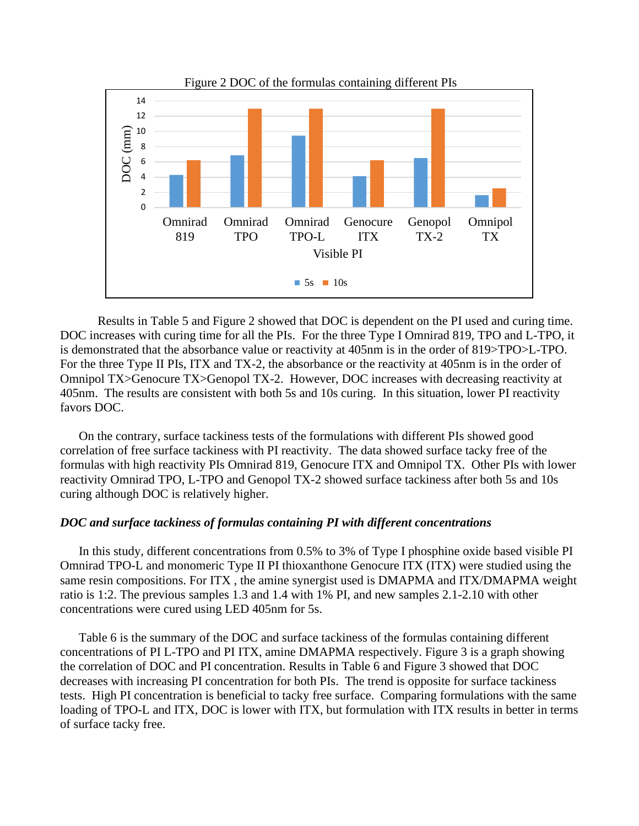

Results in Table 5 and Figure 2 showed that DOC is dependent on the PI used and curing time. DOC increases with curing time for all the PIs. For the three Type I Omnirad 819, TPO and L-TPO, it is demonstrated that the absorbance value or reactivity at 405nm is in the order of 819>TPO>L-TPO. For the three Type II PIs, ITX and TX-2, the absorbance or the reactivity at 405nm is in the order of Omnipol TX>Genocure TX>Genopol TX-2. However, DOC increases with decreasing reactivity at 405nm. The results are consistent with both 5s and 10s curing. In this situation, lower PI reactivity favors DOC.

On the contrary, surface tackiness tests of the formulations with different PIs showed good correlation of free surface tackiness with PI reactivity. The data showed surface tacky free of the formulas with high reactivity PIs Omnirad 819, Genocure ITX and Omnipol TX. Other PIs with lower reactivity Omnirad TPO, L-TPO and Genopol TX-2 showed surface tackiness after both 5s and 10s curing although DOC is relatively higher.

#### *DOC and surface tackiness of formulas containing PI with different concentrations*

In this study, different concentrations from 0.5% to 3% of Type I phosphine oxide based visible PI Omnirad TPO-L and monomeric Type II PI thioxanthone Genocure ITX (ITX) were studied using the same resin compositions. For ITX , the amine synergist used is DMAPMA and ITX/DMAPMA weight ratio is 1:2. The previous samples 1.3 and 1.4 with 1% PI, and new samples 2.1-2.10 with other concentrations were cured using LED 405nm for 5s.

Table 6 is the summary of the DOC and surface tackiness of the formulas containing different concentrations of PI L-TPO and PI ITX, amine DMAPMA respectively. Figure 3 is a graph showing the correlation of DOC and PI concentration. Results in Table 6 and Figure 3 showed that DOC decreases with increasing PI concentration for both PIs. The trend is opposite for surface tackiness tests. High PI concentration is beneficial to tacky free surface. Comparing formulations with the same loading of TPO-L and ITX, DOC is lower with ITX, but formulation with ITX results in better in terms of surface tacky free.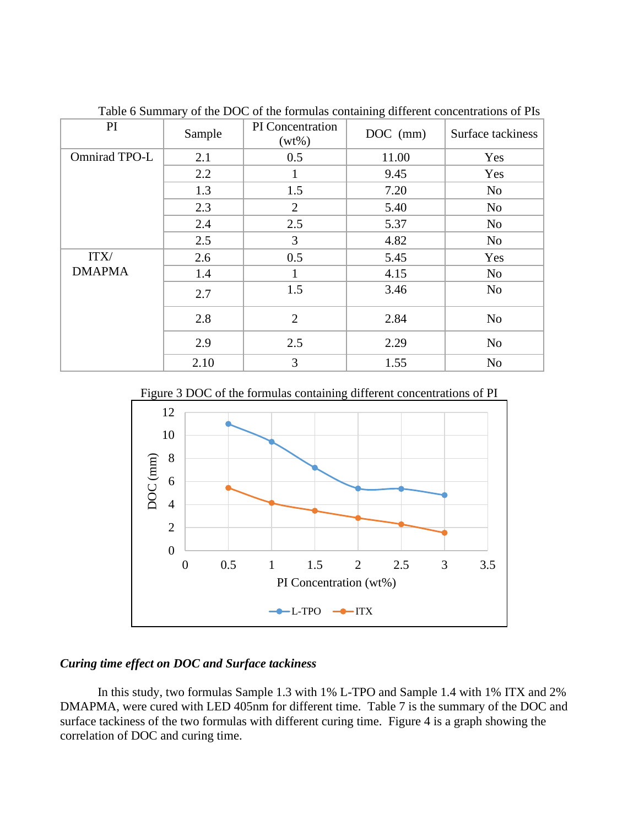| PI            | Sample | PI Concentration<br>$(wt\%)$ | DOC (mm) | Surface tackiness |
|---------------|--------|------------------------------|----------|-------------------|
| Omnirad TPO-L | 2.1    | 0.5                          | 11.00    | Yes               |
|               | 2.2    | 1                            | 9.45     | Yes               |
|               | 1.3    | 1.5                          | 7.20     | N <sub>o</sub>    |
|               | 2.3    | $\overline{2}$               | 5.40     | N <sub>o</sub>    |
|               | 2.4    |                              | 5.37     | N <sub>o</sub>    |
|               | 2.5    | 3                            | 4.82     | N <sub>o</sub>    |
| ITX/          | 2.6    | 0.5                          | 5.45     | Yes               |
| <b>DMAPMA</b> | 1.4    | 1                            | 4.15     | N <sub>o</sub>    |
|               | 2.7    | 1.5                          | 3.46     | N <sub>o</sub>    |
|               | 2.8    | $\overline{2}$               | 2.84     | N <sub>o</sub>    |
|               | 2.9    | 2.5                          | 2.29     | N <sub>o</sub>    |
|               | 2.10   | 3                            | 1.55     | N <sub>o</sub>    |

Table 6 Summary of the DOC of the formulas containing different concentrations of PIs

Figure 3 DOC of the formulas containing different concentrations of PI



#### *Curing time effect on DOC and Surface tackiness*

In this study, two formulas Sample 1.3 with 1% L-TPO and Sample 1.4 with 1% ITX and 2% DMAPMA, were cured with LED 405nm for different time. Table 7 is the summary of the DOC and surface tackiness of the two formulas with different curing time. Figure 4 is a graph showing the correlation of DOC and curing time.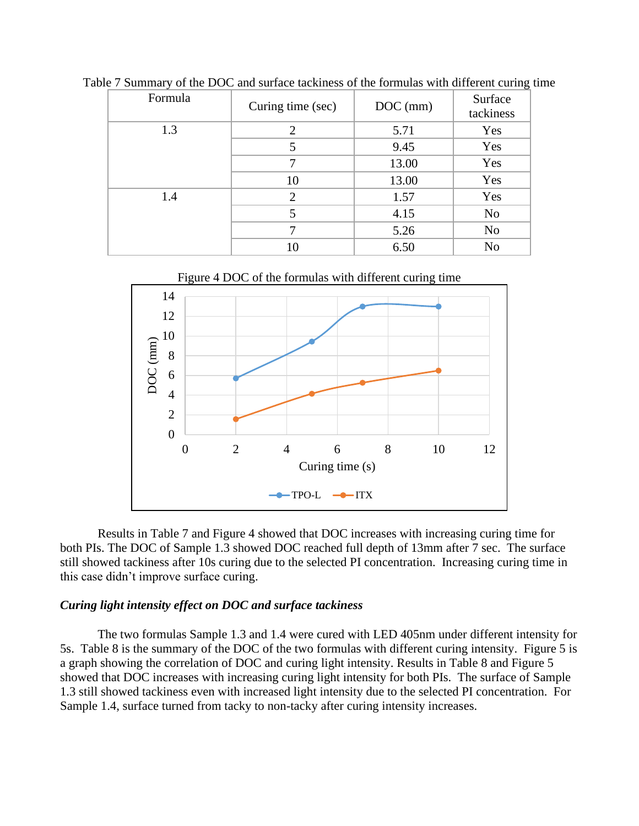| Formula | Curing time (sec) | $DOC$ (mm) | Surface<br>tackiness |
|---------|-------------------|------------|----------------------|
| 1.3     |                   | 5.71       | Yes                  |
|         |                   | 9.45       | Yes                  |
|         |                   | 13.00      | Yes                  |
|         | 10                | 13.00      | Yes                  |
| 1.4     | റ                 | 1.57       | Yes                  |
|         |                   | 4.15       | N <sub>o</sub>       |
|         |                   | 5.26       | N <sub>o</sub>       |
|         | 10                | 6.50       | No                   |

Table 7 Summary of the DOC and surface tackiness of the formulas with different curing time





Results in Table 7 and Figure 4 showed that DOC increases with increasing curing time for both PIs. The DOC of Sample 1.3 showed DOC reached full depth of 13mm after 7 sec. The surface still showed tackiness after 10s curing due to the selected PI concentration. Increasing curing time in this case didn't improve surface curing.

#### *Curing light intensity effect on DOC and surface tackiness*

The two formulas Sample 1.3 and 1.4 were cured with LED 405nm under different intensity for 5s. Table 8 is the summary of the DOC of the two formulas with different curing intensity. Figure 5 is a graph showing the correlation of DOC and curing light intensity. Results in Table 8 and Figure 5 showed that DOC increases with increasing curing light intensity for both PIs. The surface of Sample 1.3 still showed tackiness even with increased light intensity due to the selected PI concentration. For Sample 1.4, surface turned from tacky to non-tacky after curing intensity increases.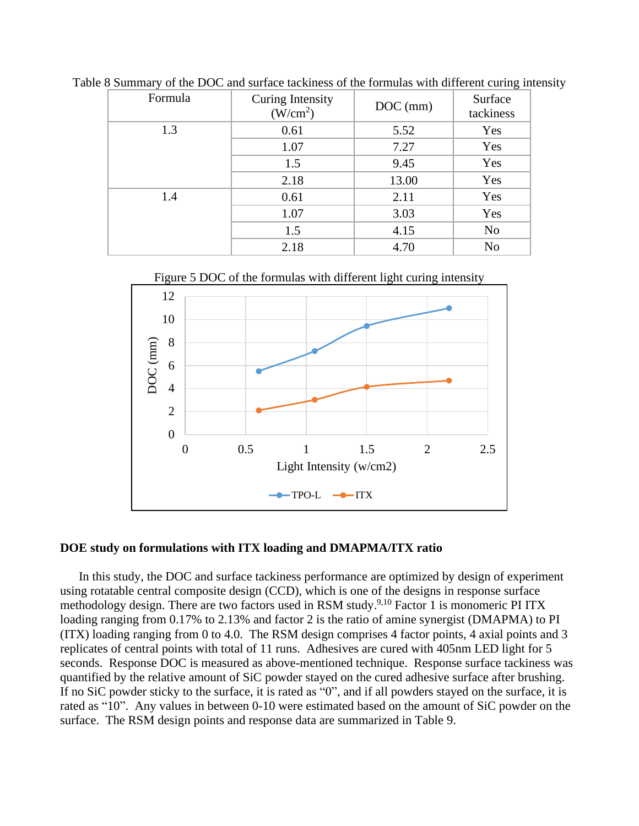| Formula | <b>Curing Intensity</b><br>(W/cm <sup>2</sup> ) | $DOC$ (mm) | Surface<br>tackiness |
|---------|-------------------------------------------------|------------|----------------------|
| 1.3     | 0.61                                            | 5.52       | Yes                  |
|         | 1.07                                            | 7.27       | Yes                  |
|         | 1.5                                             | 9.45       | Yes                  |
|         | 2.18                                            | 13.00      | Yes                  |
| 1.4     | 0.61                                            | 2.11       | Yes                  |
|         | 1.07                                            | 3.03       | Yes                  |
|         | 1.5                                             | 4.15       | N <sub>o</sub>       |
|         | 2.18                                            | 4.70       | N <sub>0</sub>       |

Table 8 Summary of the DOC and surface tackiness of the formulas with different curing intensity



Figure 5 DOC of the formulas with different light curing intensity

#### **DOE study on formulations with ITX loading and DMAPMA/ITX ratio**

In this study, the DOC and surface tackiness performance are optimized by design of experiment using rotatable central composite design (CCD), which is one of the designs in response surface methodology design. There are two factors used in RSM study.<sup>9,10</sup> Factor 1 is monomeric PI ITX loading ranging from 0.17% to 2.13% and factor 2 is the ratio of amine synergist (DMAPMA) to PI (ITX) loading ranging from 0 to 4.0. The RSM design comprises 4 factor points, 4 axial points and 3 replicates of central points with total of 11 runs. Adhesives are cured with 405nm LED light for 5 seconds. Response DOC is measured as above-mentioned technique. Response surface tackiness was quantified by the relative amount of SiC powder stayed on the cured adhesive surface after brushing. If no SiC powder sticky to the surface, it is rated as "0", and if all powders stayed on the surface, it is rated as "10". Any values in between 0-10 were estimated based on the amount of SiC powder on the surface. The RSM design points and response data are summarized in Table 9.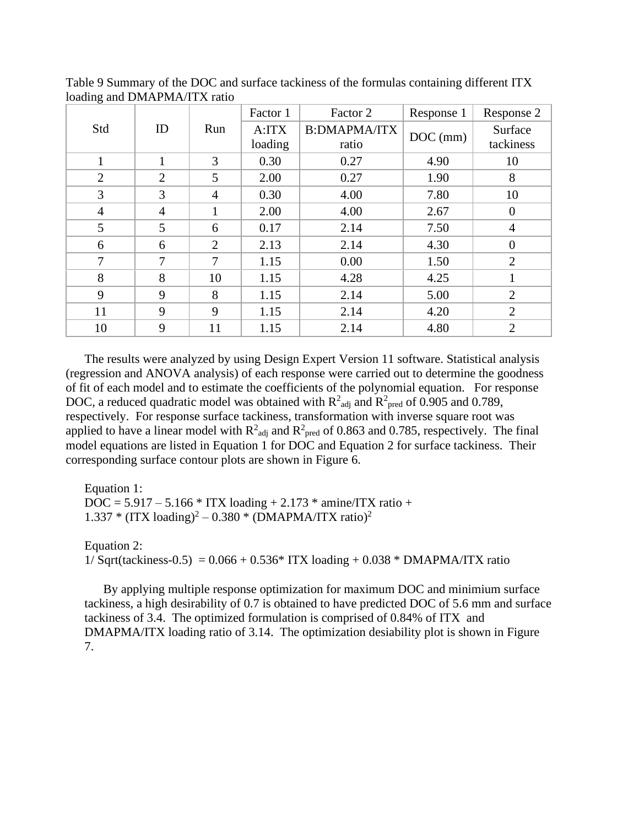|                |                |                | Factor 1 | Factor 2            | Response 1 | Response 2     |
|----------------|----------------|----------------|----------|---------------------|------------|----------------|
| Std            | ID             | Run            | A:ITX    | <b>B:DMAPMA/ITX</b> | $DOC$ (mm) | Surface        |
|                |                |                | loading  | ratio               |            | tackiness      |
|                |                | 3              | 0.30     | 0.27                | 4.90       | 10             |
| $\overline{2}$ | $\overline{2}$ | 5              | 2.00     | 0.27                | 1.90       | 8              |
| 3              | 3              | 4              | 0.30     | 4.00                | 7.80       | 10             |
| $\overline{4}$ | $\overline{4}$ | 1              | 2.00     | 4.00                | 2.67       | $\theta$       |
| 5              | 5              | 6              | 0.17     | 2.14                | 7.50       | $\overline{4}$ |
| 6              | 6              | $\overline{2}$ | 2.13     | 2.14                | 4.30       | $\overline{0}$ |
| $\overline{7}$ | 7              | $\overline{7}$ | 1.15     | 0.00                | 1.50       | $\overline{2}$ |
| 8              | 8              | 10             | 1.15     | 4.28                | 4.25       |                |
| 9              | 9              | 8              | 1.15     | 2.14                | 5.00       | $\overline{2}$ |
| 11             | 9              | 9              | 1.15     | 2.14                | 4.20       | $\overline{2}$ |
| 10             | 9              | 11             | 1.15     | 2.14                | 4.80       | $\overline{2}$ |

Table 9 Summary of the DOC and surface tackiness of the formulas containing different ITX loading and DMAPMA/ITX ratio

The results were analyzed by using Design Expert Version 11 software. Statistical analysis (regression and ANOVA analysis) of each response were carried out to determine the goodness of fit of each model and to estimate the coefficients of the polynomial equation. For response DOC, a reduced quadratic model was obtained with  $R^2$ <sub>adj</sub> and  $R^2$ <sub>pred</sub> of 0.905 and 0.789, respectively. For response surface tackiness, transformation with inverse square root was applied to have a linear model with  $R^2_{\text{adj}}$  and  $R^2_{\text{pred}}$  of 0.863 and 0.785, respectively. The final model equations are listed in Equation 1 for DOC and Equation 2 for surface tackiness. Their corresponding surface contour plots are shown in Figure 6.

Equation 1:  $DOC = 5.917 - 5.166 * ITX loading + 2.173 * amine/ITX ratio +$  $1.337 * (ITX loading)<sup>2</sup> - 0.380 * (DMAPMA/ITX ratio)<sup>2</sup>$ 

Equation 2:  $1/\text{Sqrt}(tackiness-0.5) = 0.066 + 0.536*$  ITX loading + 0.038 \* DMAPMA/ITX ratio

By applying multiple response optimization for maximum DOC and minimium surface tackiness, a high desirability of 0.7 is obtained to have predicted DOC of 5.6 mm and surface tackiness of 3.4. The optimized formulation is comprised of 0.84% of ITX and DMAPMA/ITX loading ratio of 3.14. The optimization desiability plot is shown in Figure 7.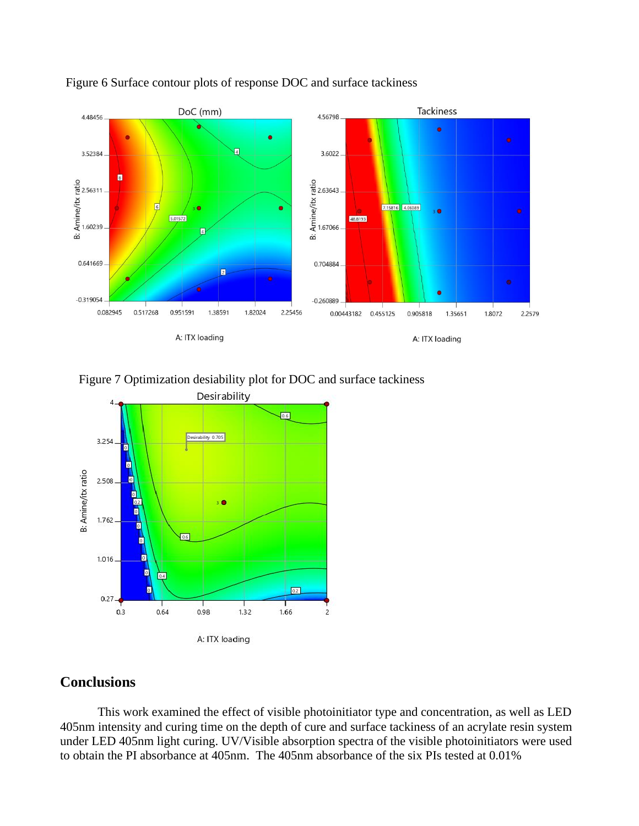

#### Figure 6 Surface contour plots of response DOC and surface tackiness

Figure 7 Optimization desiability plot for DOC and surface tackiness



# **Conclusions**

This work examined the effect of visible photoinitiator type and concentration, as well as LED 405nm intensity and curing time on the depth of cure and surface tackiness of an acrylate resin system under LED 405nm light curing. UV/Visible absorption spectra of the visible photoinitiators were used to obtain the PI absorbance at 405nm. The 405nm absorbance of the six PIs tested at 0.01%